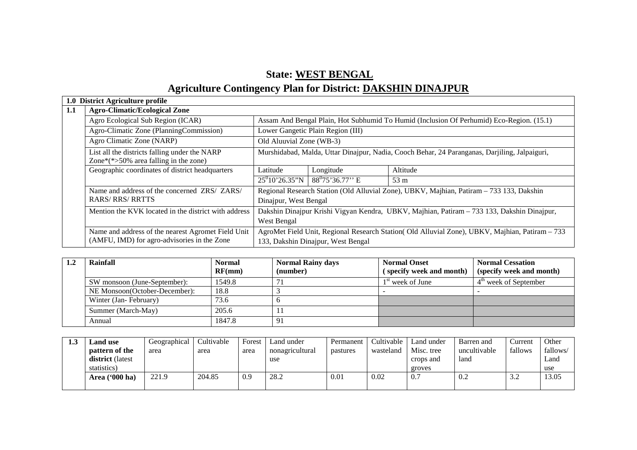# **State: WEST BENGAL**

# **Agriculture Contingency Plan for District: DAKSHIN DINAJPUR**

|     | 1.0 District Agriculture profile                                                                 |                                                                                                 |                                    |                                                                                            |  |  |
|-----|--------------------------------------------------------------------------------------------------|-------------------------------------------------------------------------------------------------|------------------------------------|--------------------------------------------------------------------------------------------|--|--|
| 1.1 | <b>Agro-Climatic/Ecological Zone</b>                                                             |                                                                                                 |                                    |                                                                                            |  |  |
|     | Agro Ecological Sub Region (ICAR)                                                                |                                                                                                 |                                    | Assam And Bengal Plain, Hot Subhumid To Humid (Inclusion Of Perhumid) Eco-Region. (15.1)   |  |  |
|     | Agro-Climatic Zone (PlanningCommission)                                                          |                                                                                                 | Lower Gangetic Plain Region (III)  |                                                                                            |  |  |
|     | Agro Climatic Zone (NARP)                                                                        | Old Aluuvial Zone (WB-3)                                                                        |                                    |                                                                                            |  |  |
|     | List all the districts falling under the NARP<br>Zone $*(\approx)50\%$ area falling in the zone) | Murshidabad, Malda, Uttar Dinajpur, Nadia, Cooch Behar, 24 Paranganas, Darjiling, Jalpaiguri,   |                                    |                                                                                            |  |  |
|     | Geographic coordinates of district headquarters                                                  | Latitude                                                                                        | Longitude                          | Altitude                                                                                   |  |  |
|     |                                                                                                  | $25^010'26.35''N$                                                                               | $88^0$ 75'36.77'' E                | 53 m                                                                                       |  |  |
|     | Name and address of the concerned ZRS/ ZARS/                                                     |                                                                                                 |                                    | Regional Research Station (Old Alluvial Zone), UBKV, Majhian, Patiram – 733 133, Dakshin   |  |  |
|     | <b>RARS/RRS/RRTTS</b>                                                                            | Dinajpur, West Bengal                                                                           |                                    |                                                                                            |  |  |
|     | Mention the KVK located in the district with address                                             |                                                                                                 |                                    | Dakshin Dinajpur Krishi Vigyan Kendra, UBKV, Majhian, Patiram – 733 133, Dakshin Dinajpur, |  |  |
|     |                                                                                                  | West Bengal                                                                                     |                                    |                                                                                            |  |  |
|     | Name and address of the nearest Agromet Field Unit                                               | AgroMet Field Unit, Regional Research Station (Old Alluvial Zone), UBKV, Majhian, Patiram - 733 |                                    |                                                                                            |  |  |
|     | (AMFU, IMD) for agro-advisories in the Zone                                                      |                                                                                                 | 133, Dakshin Dinajpur, West Bengal |                                                                                            |  |  |

| Rainfall                      | Normal<br>RF(mm) | <b>Normal Rainy days</b><br>(number) | <b>Normal Onset</b><br>(specify week and month) | <b>Normal Cessation</b><br>(specify week and month) |
|-------------------------------|------------------|--------------------------------------|-------------------------------------------------|-----------------------------------------------------|
| SW monsoon (June-September):  | 1549.8           |                                      | $1st$ week of June                              | $4th$ week of September                             |
| NE Monsoon(October-December): | 18.8             |                                      |                                                 |                                                     |
| Winter (Jan-February)         | 73.6             |                                      |                                                 |                                                     |
| Summer (March-May)            | 205.6            |                                      |                                                 |                                                     |
| Annual                        | 1847.8           | -91                                  |                                                 |                                                     |

| 1.3 | and use.                | Geographical | Cultivable | Forest | Land under      | Permanent | Cultivable | Land under | Barren and   | Current         | Other    |
|-----|-------------------------|--------------|------------|--------|-----------------|-----------|------------|------------|--------------|-----------------|----------|
|     | pattern of the          | area         | area       | area   | nonagricultural | pastures  | wasteland  | Misc. tree | uncultivable | fallows         | fallows/ |
|     | <b>district</b> (latest |              |            |        | use             |           |            | crops and  | land         |                 | Land     |
|     | statistics)             |              |            |        |                 |           |            | groves     |              |                 | use      |
|     | Area ('000 ha)          | 221.9        | 204.85     | 0.9    | 28.2            | 0.01      | 0.02       | 0.7        | 0.2          | $\Omega$<br>ے ک | 13.05    |
|     |                         |              |            |        |                 |           |            |            |              |                 |          |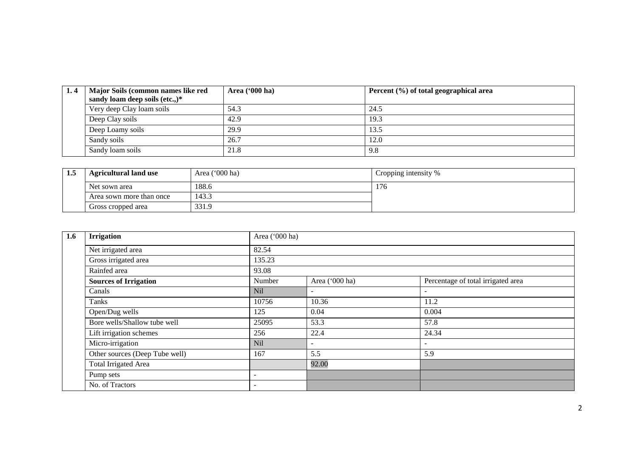| 1.4 | Major Soils (common names like red | Area ('000 ha) | Percent (%) of total geographical area |
|-----|------------------------------------|----------------|----------------------------------------|
|     | sandy loam deep soils (etc.,)*     |                |                                        |
|     | Very deep Clay loam soils          | 54.3           | 24.5                                   |
|     | Deep Clay soils                    | 42.9           | 19.3                                   |
|     | Deep Loamy soils                   | 29.9           | 13.5                                   |
|     | Sandy soils                        | 26.7           | 12.0                                   |
|     | Sandy loam soils                   | 21.8           | 9.8                                    |

| 1.3 | <b>Agricultural land use</b> | Area ('000 ha) | Cropping intensity % |
|-----|------------------------------|----------------|----------------------|
|     | Net sown area                | 188.6          | 176                  |
|     | Area sown more than once     | 143.3          |                      |
|     | Gross cropped area           | 331.9          |                      |

| 1.6 | <b>Irrigation</b>              |                 | Area ('000 ha)           |                                    |  |  |  |  |
|-----|--------------------------------|-----------------|--------------------------|------------------------------------|--|--|--|--|
|     | Net irrigated area             | 82.54           |                          |                                    |  |  |  |  |
|     | Gross irrigated area           | 135.23          | 93.08                    |                                    |  |  |  |  |
|     | Rainfed area                   |                 |                          |                                    |  |  |  |  |
|     | <b>Sources of Irrigation</b>   | Number          | Area ('000 ha)           | Percentage of total irrigated area |  |  |  |  |
|     | Canals                         | N <sub>il</sub> | $\blacksquare$           |                                    |  |  |  |  |
|     | Tanks                          | 10756           | 10.36                    | 11.2                               |  |  |  |  |
|     | Open/Dug wells                 | 125             | 0.04                     | 0.004                              |  |  |  |  |
|     | Bore wells/Shallow tube well   | 25095           | 53.3                     | 57.8                               |  |  |  |  |
|     | Lift irrigation schemes        | 256             | 22.4                     | 24.34                              |  |  |  |  |
|     | Micro-irrigation               | Nil             | $\overline{\phantom{a}}$ |                                    |  |  |  |  |
|     | Other sources (Deep Tube well) | 167             | 5.5                      | 5.9                                |  |  |  |  |
|     | <b>Total Irrigated Area</b>    |                 | 92.00                    |                                    |  |  |  |  |
|     | Pump sets                      | ۰               |                          |                                    |  |  |  |  |
|     | No. of Tractors                | ۰               |                          |                                    |  |  |  |  |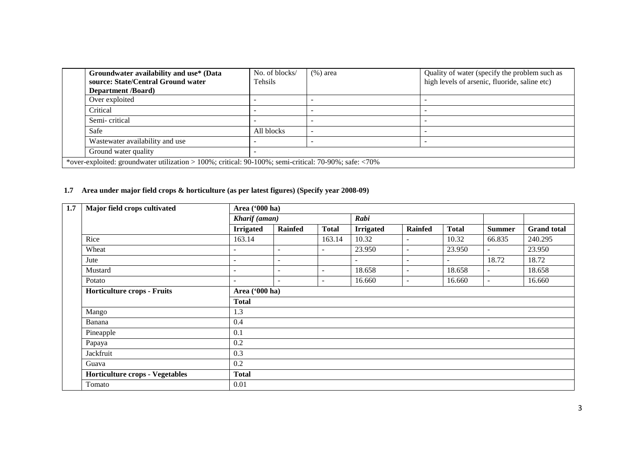| Groundwater availability and use* (Data<br>source: State/Central Ground water                                 | No. of blocks/<br>Tehsils | $(\%)$ area | Quality of water (specify the problem such as<br>high levels of arsenic, fluoride, saline etc) |  |  |  |
|---------------------------------------------------------------------------------------------------------------|---------------------------|-------------|------------------------------------------------------------------------------------------------|--|--|--|
| <b>Department</b> / <b>Board</b> )                                                                            |                           |             |                                                                                                |  |  |  |
| Over exploited                                                                                                |                           |             |                                                                                                |  |  |  |
| Critical                                                                                                      |                           |             |                                                                                                |  |  |  |
| Semi-critical                                                                                                 |                           |             |                                                                                                |  |  |  |
| Safe                                                                                                          | All blocks                |             |                                                                                                |  |  |  |
| Wastewater availability and use                                                                               |                           |             |                                                                                                |  |  |  |
| Ground water quality                                                                                          |                           |             |                                                                                                |  |  |  |
| *over-exploited: groundwater utilization > 100%; critical: $90-100\%$ ; semi-critical: $70-90\%$ ; safe: <70% |                           |             |                                                                                                |  |  |  |

#### **1.7 Area under major field crops & horticulture (as per latest figures) (Specify year 2008-09)**

| 1.7 | Major field crops cultivated<br>Area ('000 ha) |                          |                          |                          |                  |                          |                          |                          |                    |  |
|-----|------------------------------------------------|--------------------------|--------------------------|--------------------------|------------------|--------------------------|--------------------------|--------------------------|--------------------|--|
|     |                                                | Kharif (aman)            |                          |                          | Rabi             |                          |                          |                          |                    |  |
|     |                                                | <b>Irrigated</b>         | <b>Rainfed</b>           | <b>Total</b>             | <b>Irrigated</b> | <b>Rainfed</b>           | <b>Total</b>             | <b>Summer</b>            | <b>Grand</b> total |  |
|     | Rice                                           | 163.14                   |                          | 163.14                   | 10.32            | $\blacksquare$           | 10.32                    | 66.835                   | 240.295            |  |
|     | Wheat                                          | ۰                        | $\overline{\phantom{a}}$ | $\overline{\phantom{a}}$ | 23.950           | $\blacksquare$           | 23.950                   | $\sim$                   | 23.950             |  |
|     | Jute                                           | ۰                        | $\overline{\phantom{a}}$ |                          |                  | $\overline{\phantom{a}}$ | $\overline{\phantom{a}}$ | 18.72                    | 18.72              |  |
|     | Mustard                                        | $\overline{a}$           | $\sim$                   | $\overline{\phantom{a}}$ | 18.658           | $\overline{\phantom{a}}$ | 18.658                   | $\overline{\phantom{a}}$ | 18.658             |  |
|     | Potato                                         | $\overline{\phantom{0}}$ | $\sim$                   | $\sim$                   | 16.660           | $\overline{\phantom{0}}$ | 16.660                   | $\sim$                   | 16.660             |  |
|     | Horticulture crops - Fruits                    | Area ('000 ha)           |                          |                          |                  |                          |                          |                          |                    |  |
|     |                                                | <b>Total</b>             |                          |                          |                  |                          |                          |                          |                    |  |
|     | Mango                                          | 1.3                      |                          |                          |                  |                          |                          |                          |                    |  |
|     | Banana                                         | 0.4                      |                          |                          |                  |                          |                          |                          |                    |  |
|     | Pineapple                                      | 0.1                      |                          |                          |                  |                          |                          |                          |                    |  |
|     | Papaya                                         | 0.2                      |                          |                          |                  |                          |                          |                          |                    |  |
|     | Jackfruit                                      | 0.3                      |                          |                          |                  |                          |                          |                          |                    |  |
|     | Guava                                          | 0.2                      |                          |                          |                  |                          |                          |                          |                    |  |
|     | <b>Horticulture crops - Vegetables</b>         | <b>Total</b>             |                          |                          |                  |                          |                          |                          |                    |  |
|     | Tomato                                         | 0.01                     |                          |                          |                  |                          |                          |                          |                    |  |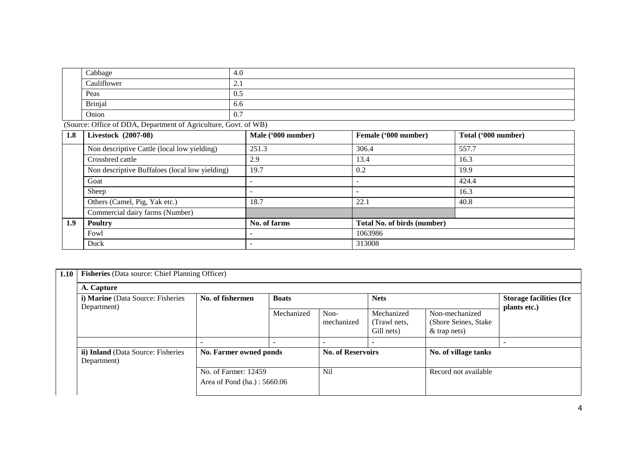|     | Cabbage                                                         | 4.0 |                          |                      |                     |
|-----|-----------------------------------------------------------------|-----|--------------------------|----------------------|---------------------|
|     | Cauliflower                                                     | 2.1 |                          |                      |                     |
|     | Peas                                                            | 0.5 |                          |                      |                     |
|     | <b>Brinjal</b>                                                  | 6.6 |                          |                      |                     |
|     | Onion                                                           | 0.7 |                          |                      |                     |
|     | (Source: Office of DDA, Department of Agriculture, Govt. of WB) |     |                          |                      |                     |
| 1.8 | Livestock (2007-08)                                             |     | Male ('000 number)       | Female ('000 number) | Total ('000 number) |
|     | Non descriptive Cattle (local low yielding)                     |     | 251.3                    | 306.4                | 557.7               |
|     | Crossbred cattle                                                |     | 2.9                      | 13.4                 | 16.3                |
|     | Non descriptive Buffaloes (local low yielding)                  |     | 19.7                     | 0.2                  | 19.9                |
|     | Goat                                                            |     |                          |                      | 424.4               |
|     | Sheep                                                           |     | $\overline{\phantom{a}}$ |                      | 16.3                |
|     | Others (Camel, Pig, Yak etc.)                                   |     | 18.7                     | 22.1                 | 40.8                |

**1.9 Poultry No. of farms Total No. of birds (number)** 

Fowl - 1063986 Duck 313008

Commercial dairy farms (Number)

| 1.10 | <b>Fisheries</b> (Data source: Chief Planning Officer) |                                                     |            |                          |                                          |                                                           |                                                |  |  |
|------|--------------------------------------------------------|-----------------------------------------------------|------------|--------------------------|------------------------------------------|-----------------------------------------------------------|------------------------------------------------|--|--|
|      | A. Capture                                             |                                                     |            |                          |                                          |                                                           |                                                |  |  |
|      | i) Marine (Data Source: Fisheries<br>Department)       | No. of fishermen<br><b>Boats</b>                    |            | <b>Nets</b>              |                                          |                                                           | <b>Storage facilities (Ice</b><br>plants etc.) |  |  |
|      |                                                        |                                                     | Mechanized | Non-<br>mechanized       | Mechanized<br>(Trawl nets,<br>Gill nets) | Non-mechanized<br>(Shore Seines, Stake)<br>$&$ trap nets) |                                                |  |  |
|      |                                                        |                                                     |            | $\overline{\phantom{0}}$ |                                          |                                                           |                                                |  |  |
|      | ii) Inland (Data Source: Fisheries<br>Department)      | No. Farmer owned ponds                              |            | <b>No. of Reservoirs</b> |                                          | No. of village tanks                                      |                                                |  |  |
|      |                                                        | No. of Farmer: 12459<br>Area of Pond (ha.): 5660.06 |            | N <sub>i</sub>           |                                          | Record not available                                      |                                                |  |  |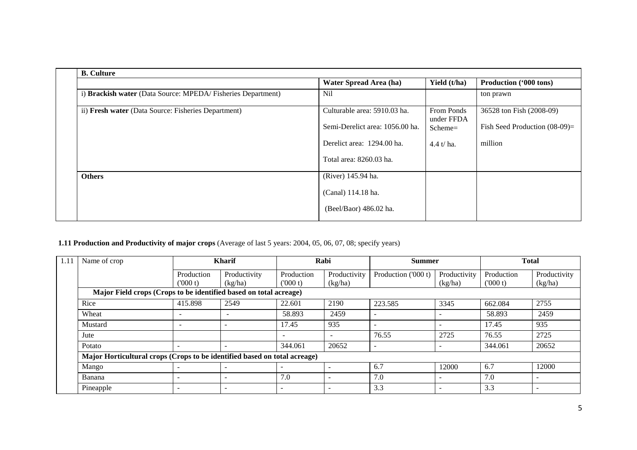| <b>B.</b> Culture                                           |                                 |                          |                                  |
|-------------------------------------------------------------|---------------------------------|--------------------------|----------------------------------|
|                                                             | Water Spread Area (ha)          | Yield (t/ha)             | Production ('000 tons)           |
| i) Brackish water (Data Source: MPEDA/Fisheries Department) | <b>Nil</b>                      |                          | ton prawn                        |
| ii) Fresh water (Data Source: Fisheries Department)         | Culturable area: 5910.03 ha.    | From Ponds<br>under FFDA | 36528 ton Fish (2008-09)         |
|                                                             | Semi-Derelict area: 1056.00 ha. | $Scheme =$               | Fish Seed Production $(08-09)$ = |
|                                                             | Derelict area: 1294.00 ha.      | $4.4 t/ha$ .             | million                          |
|                                                             | Total area: 8260.03 ha.         |                          |                                  |
| <b>Others</b>                                               | (River) 145.94 ha.              |                          |                                  |
|                                                             | (Canal) 114.18 ha.              |                          |                                  |
|                                                             | (Beel/Baor) 486.02 ha.          |                          |                                  |

#### **1.11 Production and Productivity of major crops** (Average of last 5 years: 2004, 05, 06, 07, 08; specify years)

| 1.11 | Name of crop                                                              |                          | <b>Kharif</b>            |            | Rabi                     | <b>Summer</b>            |              | <b>Total</b> |                          |
|------|---------------------------------------------------------------------------|--------------------------|--------------------------|------------|--------------------------|--------------------------|--------------|--------------|--------------------------|
|      |                                                                           | Production               | Productivity             | Production | Productivity             | Production ('000 t)      | Productivity | Production   | Productivity             |
|      |                                                                           | (000 t)                  | (kg/ha)                  | (000 t)    | (kg/ha)                  |                          | (kg/ha)      | (000 t)      | (kg/ha)                  |
|      | Major Field crops (Crops to be identified based on total acreage)         |                          |                          |            |                          |                          |              |              |                          |
|      | Rice                                                                      | 415.898                  | 2549                     | 22.601     | 2190                     | 223.585                  | 3345         | 662.084      | 2755                     |
|      | Wheat                                                                     | $\overline{\phantom{a}}$ | $\overline{\phantom{a}}$ | 58.893     | 2459                     | $\overline{\phantom{0}}$ |              | 58.893       | 2459                     |
|      | Mustard                                                                   | $\overline{\phantom{a}}$ |                          | 17.45      | 935                      | $\overline{\phantom{0}}$ |              | 17.45        | 935                      |
|      | Jute                                                                      |                          |                          | -          | $\overline{\phantom{a}}$ | 76.55                    | 2725         | 76.55        | 2725                     |
|      | Potato                                                                    |                          |                          | 344.061    | 20652                    | ۰                        |              | 344.061      | 20652                    |
|      | Major Horticultural crops (Crops to be identified based on total acreage) |                          |                          |            |                          |                          |              |              |                          |
|      | Mango                                                                     | $\overline{\phantom{a}}$ |                          | -          |                          | 6.7                      | 12000        | 6.7          | 12000                    |
|      | Banana                                                                    | $\overline{\phantom{a}}$ | -                        | 7.0        | $\overline{\phantom{0}}$ | 7.0                      |              | 7.0          | $\overline{\phantom{a}}$ |
|      | Pineapple                                                                 | $\overline{\phantom{0}}$ | -                        | ۰          |                          | 3.3                      |              | 3.3          | $\overline{\phantom{a}}$ |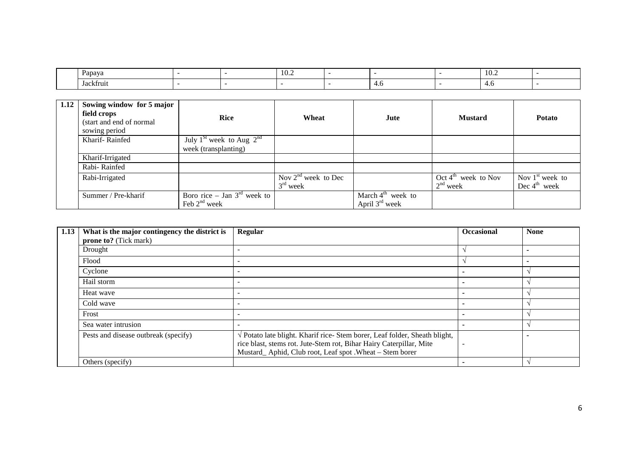| Papaya              |  | $\Omega$<br>1 V.Z |          | 10.2 |  |
|---------------------|--|-------------------|----------|------|--|
| $\sim$<br>Jackfruit |  |                   | -<br>T.V | ᠇.∪  |  |

| 1.12 | Sowing window for 5 major<br>field crops<br>(start and end of normal<br>sowing period | <b>Rice</b>                                                       | Wheat                               | Jute                                              | <b>Mustard</b>                                | <b>Potato</b>                                 |
|------|---------------------------------------------------------------------------------------|-------------------------------------------------------------------|-------------------------------------|---------------------------------------------------|-----------------------------------------------|-----------------------------------------------|
|      | Kharif-Rainfed                                                                        | July 1 <sup>St</sup> week to Aug $2^{nd}$<br>week (transplanting) |                                     |                                                   |                                               |                                               |
|      | Kharif-Irrigated                                                                      |                                                                   |                                     |                                                   |                                               |                                               |
|      | Rabi-Rainfed                                                                          |                                                                   |                                     |                                                   |                                               |                                               |
|      | Rabi-Irrigated                                                                        |                                                                   | Nov $2nd$ week to Dec<br>$3rd$ week |                                                   | Oct $4^{\text{th}}$ week to Nov<br>$2nd$ week | Nov $1st$ week to<br>Dec $4^{\text{th}}$ week |
|      | Summer / Pre-kharif                                                                   | Boro rice – Jan $3rd$ week to<br>Feb $2nd$ week                   |                                     | March $4^{\text{th}}$ week to<br>April $3rd$ week |                                               |                                               |

| 1.13 | What is the major contingency the district is | <b>Regular</b>                                                                                                                                                                                                                 | Occasional | <b>None</b> |
|------|-----------------------------------------------|--------------------------------------------------------------------------------------------------------------------------------------------------------------------------------------------------------------------------------|------------|-------------|
|      | <b>prone to?</b> (Tick mark)                  |                                                                                                                                                                                                                                |            |             |
|      | Drought                                       |                                                                                                                                                                                                                                |            |             |
|      | Flood                                         |                                                                                                                                                                                                                                |            |             |
|      | Cyclone                                       |                                                                                                                                                                                                                                |            |             |
|      | Hail storm                                    |                                                                                                                                                                                                                                |            |             |
|      | Heat wave                                     |                                                                                                                                                                                                                                |            |             |
|      | Cold wave                                     |                                                                                                                                                                                                                                |            |             |
|      | Frost                                         |                                                                                                                                                                                                                                |            |             |
|      | Sea water intrusion                           |                                                                                                                                                                                                                                |            |             |
|      | Pests and disease outbreak (specify)          | $\sqrt{\frac{1}{1}}$ Potato late blight. Kharif rice-Stem borer, Leaf folder, Sheath blight,<br>rice blast, stems rot. Jute-Stem rot, Bihar Hairy Caterpillar, Mite<br>Mustard_Aphid, Club root, Leaf spot .Wheat - Stem borer |            |             |
|      | Others (specify)                              |                                                                                                                                                                                                                                |            |             |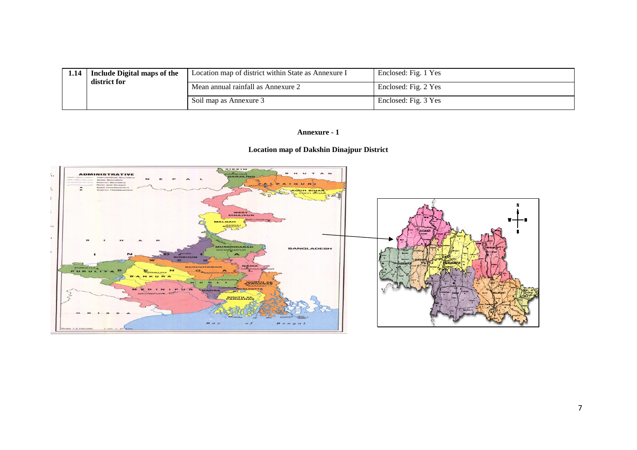| 1.14   Include Digital maps of the<br>district for | Location map of district within State as Annexure I | Enclosed: Fig. 1 Yes |
|----------------------------------------------------|-----------------------------------------------------|----------------------|
|                                                    | Mean annual rainfall as Annexure 2                  | Enclosed: Fig. 2 Yes |
|                                                    | Soil map as Annexure 3                              | Enclosed: Fig. 3 Yes |

## **Annexure - 1**

# **Location map of Dakshin Dinajpur District**

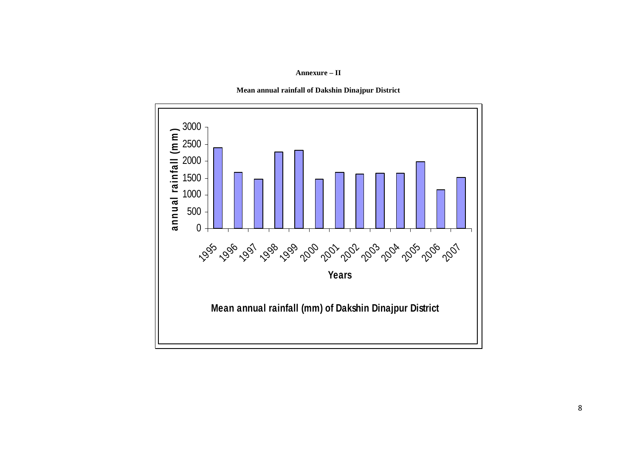**Annexure – II**



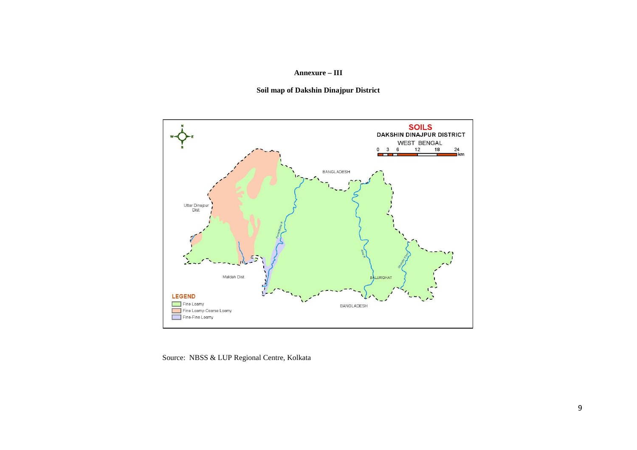#### **Annexure – III**

**Soil map of Dakshin Dinajpur District** 



Source: NBSS & LUP Regional Centre, Kolkata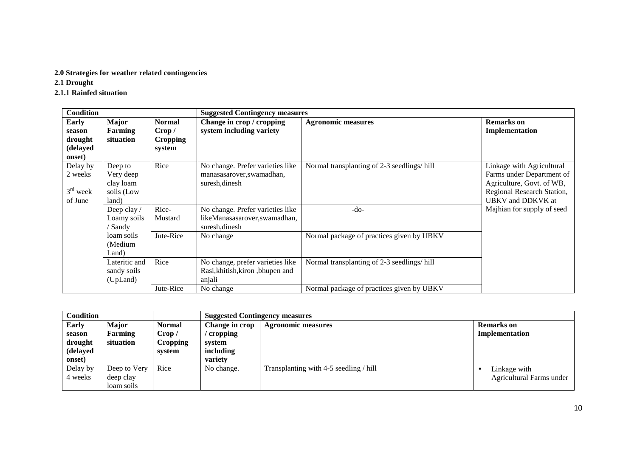## **2.0 Strategies for weather related contingencies**

**2.1 Drought** 

# **2.1.1 Rainfed situation**

| <b>Condition</b>                                        |                                                               |                                                      | <b>Suggested Contingency measures</b>                                                           |                                                                                         |                                                                                                                                        |
|---------------------------------------------------------|---------------------------------------------------------------|------------------------------------------------------|-------------------------------------------------------------------------------------------------|-----------------------------------------------------------------------------------------|----------------------------------------------------------------------------------------------------------------------------------------|
| <b>Early</b><br>season<br>drought<br>(delayed<br>onset) | Major<br>Farming<br>situation                                 | <b>Normal</b><br>Crop /<br><b>Cropping</b><br>system | Change in crop / cropping<br>system including variety                                           | <b>Agronomic measures</b>                                                               | <b>Remarks</b> on<br>Implementation                                                                                                    |
| Delay by<br>2 weeks<br>$3rd$ week<br>of June            | Deep to<br>Very deep<br>clay loam<br>soils (Low<br>land)      | Rice                                                 | No change. Prefer varieties like<br>manasasarover, swamadhan,<br>suresh, dinesh                 | Normal transplanting of 2-3 seedlings/hill                                              | Linkage with Agricultural<br>Farms under Department of<br>Agriculture, Govt. of WB,<br>Regional Research Station,<br>UBKV and DDKVK at |
|                                                         | Deep clay /<br>Loamy soils<br>'Sandy<br>loam soils<br>(Medium | Rice-<br>Mustard<br>Jute-Rice                        | No change. Prefer varieties like<br>likeManasasarover,swamadhan,<br>suresh, dinesh<br>No change | -do-<br>Normal package of practices given by UBKV                                       | Majhian for supply of seed                                                                                                             |
|                                                         | Land)<br>Lateritic and<br>sandy soils<br>(UpLand)             | Rice<br>Jute-Rice                                    | No change, prefer varieties like<br>Rasi, khitish, kiron, bhupen and<br>anjali<br>No change     | Normal transplanting of 2-3 seedlings/hill<br>Normal package of practices given by UBKV |                                                                                                                                        |

| <b>Condition</b> |              |               | <b>Suggested Contingency measures</b> |                                        |                          |
|------------------|--------------|---------------|---------------------------------------|----------------------------------------|--------------------------|
| <b>Early</b>     | <b>Major</b> | <b>Normal</b> | Change in crop                        | <b>Agronomic measures</b>              | <b>Remarks</b> on        |
| season           | Farming      | Crop /        | cropping                              |                                        | Implementation           |
| drought          | situation    | Cropping      | svstem                                |                                        |                          |
| (delayed         |              | system        | including                             |                                        |                          |
| onset)           |              |               | variety                               |                                        |                          |
| Delay by         | Deep to Very | Rice          | No change.                            | Transplanting with 4-5 seedling / hill | Linkage with             |
| 4 weeks          | deep clay    |               |                                       |                                        | Agricultural Farms under |
|                  | loam soils   |               |                                       |                                        |                          |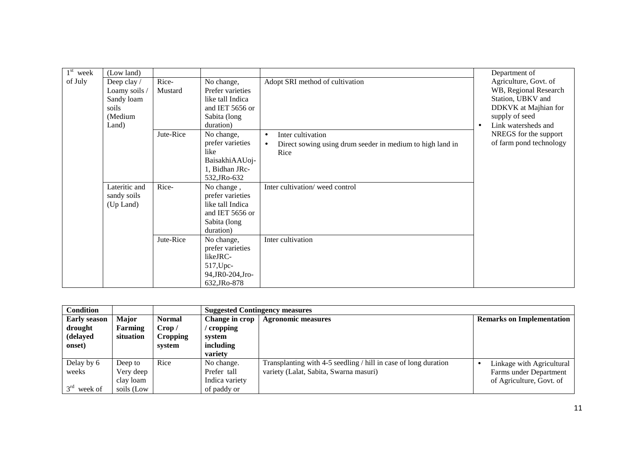| $1st$ week | (Low land)    |           |                   |                                                                        |           | Department of           |
|------------|---------------|-----------|-------------------|------------------------------------------------------------------------|-----------|-------------------------|
| of July    | Deep clay /   | Rice-     | No change,        | Adopt SRI method of cultivation                                        |           | Agriculture, Govt. of   |
|            | Loamy soils / | Mustard   | Prefer varieties  |                                                                        |           | WB, Regional Research   |
|            | Sandy loam    |           | like tall Indica  |                                                                        |           | Station, UBKV and       |
|            | soils         |           | and IET 5656 or   |                                                                        |           | DDKVK at Majhian for    |
|            | (Medium       |           | Sabita (long      |                                                                        |           | supply of seed          |
|            | Land)         |           | duration)         |                                                                        | $\bullet$ | Link watersheds and     |
|            |               | Jute-Rice | No change,        | Inter cultivation<br>$\bullet$                                         |           | NREGS for the support   |
|            |               |           | prefer varieties  | Direct sowing using drum seeder in medium to high land in<br>$\bullet$ |           | of farm pond technology |
|            |               |           | like              | Rice                                                                   |           |                         |
|            |               |           | BaisakhiAAUoj-    |                                                                        |           |                         |
|            |               |           | 1, Bidhan JRc-    |                                                                        |           |                         |
|            |               |           | 532, JRo-632      |                                                                        |           |                         |
|            | Lateritic and | Rice-     | No change,        | Inter cultivation/weed control                                         |           |                         |
|            | sandy soils   |           | prefer varieties  |                                                                        |           |                         |
|            | (Up Land)     |           | like tall Indica  |                                                                        |           |                         |
|            |               |           | and IET 5656 or   |                                                                        |           |                         |
|            |               |           | Sabita (long      |                                                                        |           |                         |
|            |               |           | duration)         |                                                                        |           |                         |
|            |               | Jute-Rice | No change,        | Inter cultivation                                                      |           |                         |
|            |               |           | prefer varieties  |                                                                        |           |                         |
|            |               |           | likeJRC-          |                                                                        |           |                         |
|            |               |           | 517, Upc-         |                                                                        |           |                         |
|            |               |           | 94, JR0-204, Jro- |                                                                        |           |                         |
|            |               |           | 632, JRo-878      |                                                                        |           |                         |

| <b>Condition</b>    |              |                 |                | <b>Suggested Contingency measures</b>                           |                                  |
|---------------------|--------------|-----------------|----------------|-----------------------------------------------------------------|----------------------------------|
| <b>Early season</b> | <b>Major</b> | <b>Normal</b>   | Change in crop | <b>Agronomic measures</b>                                       | <b>Remarks on Implementation</b> |
| drought             | Farming      | Crop /          | cropping       |                                                                 |                                  |
| (delayed            | situation    | <b>Cropping</b> | system         |                                                                 |                                  |
| onset)              |              | svstem          | including      |                                                                 |                                  |
|                     |              |                 | variety        |                                                                 |                                  |
| Delay by 6          | Deep to      | Rice            | No change.     | Transplanting with 4-5 seedling / hill in case of long duration | Linkage with Agricultural        |
| weeks               | Very deep    |                 | Prefer tall    | variety (Lalat, Sabita, Swarna masuri)                          | Farms under Department           |
|                     | clay loam    |                 | Indica variety |                                                                 | of Agriculture, Govt. of         |
| $3rd$ week of       | soils (Low   |                 | of paddy or    |                                                                 |                                  |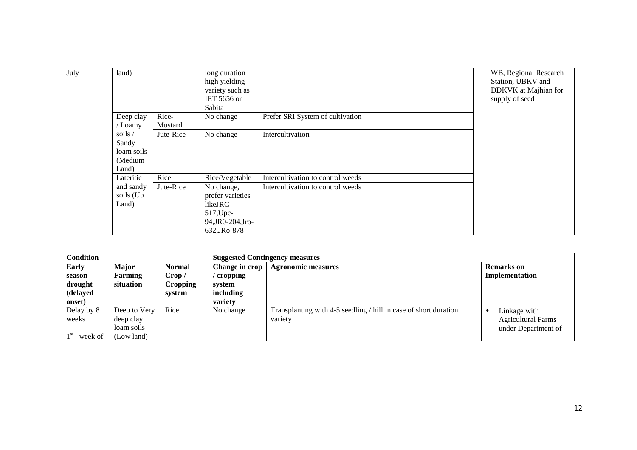| July | land)                                                                     |                  | long duration<br>high yielding<br>variety such as<br>IET 5656 or<br>Sabita                   |                                   | WB, Regional Research<br>Station, UBKV and<br>DDKVK at Majhian for<br>supply of seed |
|------|---------------------------------------------------------------------------|------------------|----------------------------------------------------------------------------------------------|-----------------------------------|--------------------------------------------------------------------------------------|
|      | Deep clay<br>/ Loamy                                                      | Rice-<br>Mustard | No change                                                                                    | Prefer SRI System of cultivation  |                                                                                      |
|      | soils $\overline{\phantom{a}}$<br>Sandy<br>loam soils<br>(Medium<br>Land) | Jute-Rice        | No change                                                                                    | Intercultivation                  |                                                                                      |
|      | Lateritic                                                                 | Rice             | Rice/Vegetable                                                                               | Intercultivation to control weeds |                                                                                      |
|      | and sandy<br>soils (Up<br>Land)                                           | Jute-Rice        | No change,<br>prefer varieties<br>likeJRC-<br>517, Upc-<br>94, JR0-204, Jro-<br>632, JRo-878 | Intercultivation to control weeds |                                                                                      |

| <b>Condition</b>                                        |                                                       |                                                      |                                                              | <b>Suggested Contingency measures</b>                                       |                                                                               |  |  |  |
|---------------------------------------------------------|-------------------------------------------------------|------------------------------------------------------|--------------------------------------------------------------|-----------------------------------------------------------------------------|-------------------------------------------------------------------------------|--|--|--|
| <b>Early</b><br>season<br>drought<br>(delayed<br>onset) | <b>Major</b><br>Farming<br>situation                  | <b>Normal</b><br>Crop /<br><b>Cropping</b><br>system | Change in crop<br>cropping<br>system<br>including<br>variety | <b>Agronomic measures</b>                                                   | <b>Remarks</b> on<br>Implementation                                           |  |  |  |
| Delay by 8<br>weeks<br>week of                          | Deep to Very<br>deep clay<br>loam soils<br>(Low land) | Rice                                                 | No change                                                    | Transplanting with 4-5 seedling / hill in case of short duration<br>variety | Linkage with<br>$\bullet$<br><b>Agricultural Farms</b><br>under Department of |  |  |  |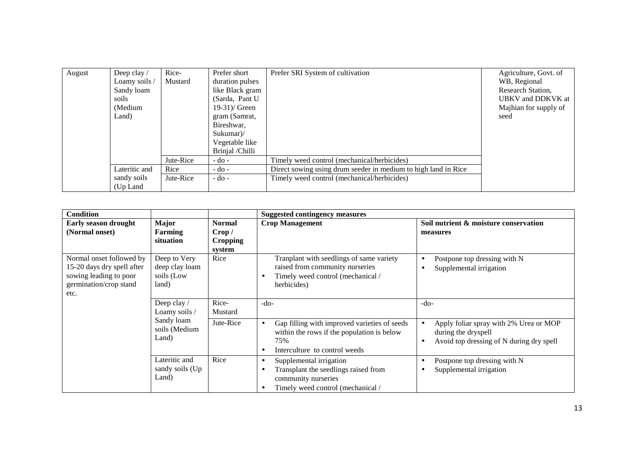| August | Deep clay/<br>Loamy soils /<br>Sandy loam<br>soils<br>(Medium<br>Land) | Rice-<br>Mustard | Prefer short<br>duration pulses<br>like Black gram<br>(Sarda, Pant U<br>$19-31$ )/ Green<br>gram (Samrat,<br>Bireshwar,<br>Sukumar<br>Vegetable like | Prefer SRI System of cultivation                               | Agriculture, Govt. of<br>WB, Regional<br>Research Station,<br>UBKV and DDKVK at<br>Majhian for supply of<br>seed |
|--------|------------------------------------------------------------------------|------------------|------------------------------------------------------------------------------------------------------------------------------------------------------|----------------------------------------------------------------|------------------------------------------------------------------------------------------------------------------|
|        |                                                                        | Jute-Rice        | Brinjal /Chilli<br>$-do-$                                                                                                                            | Timely weed control (mechanical/herbicides)                    |                                                                                                                  |
|        | Lateritic and                                                          | Rice             | $-do-$                                                                                                                                               | Direct sowing using drum seeder in medium to high land in Rice |                                                                                                                  |
|        | sandy soils<br>(Up Land)                                               | Jute-Rice        | $-do -$                                                                                                                                              | Timely weed control (mechanical/herbicides)                    |                                                                                                                  |

| <b>Condition</b>                                                                                                   |                                                       |                                                      | <b>Suggested contingency measures</b>                                                                                                                              |                                                                                                                        |
|--------------------------------------------------------------------------------------------------------------------|-------------------------------------------------------|------------------------------------------------------|--------------------------------------------------------------------------------------------------------------------------------------------------------------------|------------------------------------------------------------------------------------------------------------------------|
| <b>Early season drought</b><br>(Normal onset)                                                                      | <b>Major</b><br>Farming<br>situation                  | <b>Normal</b><br>Crop /<br><b>Cropping</b><br>system | <b>Crop Management</b>                                                                                                                                             | Soil nutrient & moisture conservation<br>measures                                                                      |
| Normal onset followed by<br>15-20 days dry spell after<br>sowing leading to poor<br>germination/crop stand<br>etc. | Deep to Very<br>deep clay loam<br>soils (Low<br>land) | Rice                                                 | Tranplant with seedlings of same variety<br>raised from community nurseries<br>Timely weed control (mechanical /<br>herbicides)                                    | Postpone top dressing with N<br>$\bullet$<br>Supplemental irrigation                                                   |
|                                                                                                                    | Deep clay /<br>Loamy soils /                          | Rice-<br>Mustard                                     | $-do-$                                                                                                                                                             | $-do-$                                                                                                                 |
|                                                                                                                    | Sandy loam<br>soils (Medium<br>Land)                  | Jute-Rice                                            | Gap filling with improved varieties of seeds<br>$\bullet$<br>within the rows if the population is below<br>75%<br>Interculture to control weeds<br>$\bullet$       | Apply foliar spray with 2% Urea or MOP<br>during the dryspell<br>Avoid top dressing of N during dry spell<br>$\bullet$ |
|                                                                                                                    | Lateritic and<br>sandy soils (Up<br>Land)             | Rice                                                 | Supplemental irrigation<br>$\bullet$<br>Transplant the seedlings raised from<br>$\bullet$<br>community nurseries<br>Timely weed control (mechanical /<br>$\bullet$ | Postpone top dressing with N<br>Supplemental irrigation                                                                |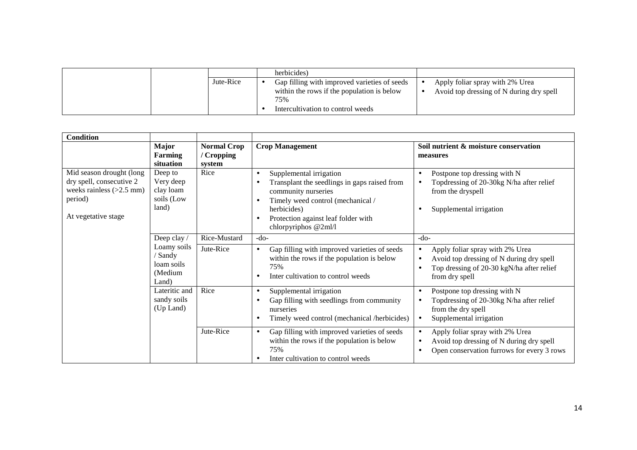|           | herbicides)                                                                                                                            |                                                                             |
|-----------|----------------------------------------------------------------------------------------------------------------------------------------|-----------------------------------------------------------------------------|
| Jute-Rice | Gap filling with improved varieties of seeds<br>within the rows if the population is below<br>75%<br>Intercultivation to control weeds | Apply foliar spray with 2% Urea<br>Avoid top dressing of N during dry spell |

| <b>Condition</b>                                                                                                     |                                                                                                       |                                            |                                                                                                                                                                                                                                                                       |                                                                                                                                                                      |
|----------------------------------------------------------------------------------------------------------------------|-------------------------------------------------------------------------------------------------------|--------------------------------------------|-----------------------------------------------------------------------------------------------------------------------------------------------------------------------------------------------------------------------------------------------------------------------|----------------------------------------------------------------------------------------------------------------------------------------------------------------------|
|                                                                                                                      | <b>Major</b><br><b>Farming</b><br>situation                                                           | <b>Normal Crop</b><br>/ Cropping<br>system | <b>Crop Management</b>                                                                                                                                                                                                                                                | Soil nutrient & moisture conservation<br>measures                                                                                                                    |
| Mid season drought (long<br>dry spell, consecutive 2<br>weeks rainless $(>2.5$ mm)<br>period)<br>At vegetative stage | Deep to<br>Very deep<br>clay loam<br>soils (Low<br>land)                                              | Rice                                       | Supplemental irrigation<br>$\bullet$<br>Transplant the seedlings in gaps raised from<br>$\bullet$<br>community nurseries<br>Timely weed control (mechanical /<br>$\bullet$<br>herbicides)<br>Protection against leaf folder with<br>$\bullet$<br>chlorpyriphos @2ml/l | Postpone top dressing with N<br>$\bullet$<br>Topdressing of 20-30kg N/ha after relief<br>$\bullet$<br>from the dryspell<br>Supplemental irrigation                   |
|                                                                                                                      | Deep clay /                                                                                           | Rice-Mustard                               | $-do-$                                                                                                                                                                                                                                                                | $-do-$                                                                                                                                                               |
|                                                                                                                      | Loamy soils<br>/ Sandy<br>loam soils<br>(Medium<br>Land)<br>Lateritic and<br>sandy soils<br>(Up Land) | Jute-Rice                                  | Gap filling with improved varieties of seeds<br>$\bullet$<br>within the rows if the population is below<br>75%<br>Inter cultivation to control weeds<br>$\bullet$                                                                                                     | Apply foliar spray with 2% Urea<br>$\bullet$<br>Avoid top dressing of N during dry spell<br>$\bullet$<br>Top dressing of 20-30 kgN/ha after relief<br>from dry spell |
|                                                                                                                      |                                                                                                       | Rice                                       | Supplemental irrigation<br>$\bullet$<br>Gap filling with seedlings from community<br>$\bullet$<br>nurseries<br>Timely weed control (mechanical /herbicides)<br>$\bullet$                                                                                              | Postpone top dressing with N<br>$\bullet$<br>Topdressing of 20-30kg N/ha after relief<br>from the dry spell<br>Supplemental irrigation<br>$\bullet$                  |
|                                                                                                                      |                                                                                                       | Jute-Rice                                  | Gap filling with improved varieties of seeds<br>$\bullet$<br>within the rows if the population is below<br>75%<br>Inter cultivation to control weeds<br>$\bullet$                                                                                                     | Apply foliar spray with 2% Urea<br>$\bullet$<br>Avoid top dressing of N during dry spell<br>$\bullet$<br>Open conservation furrows for every 3 rows<br>٠             |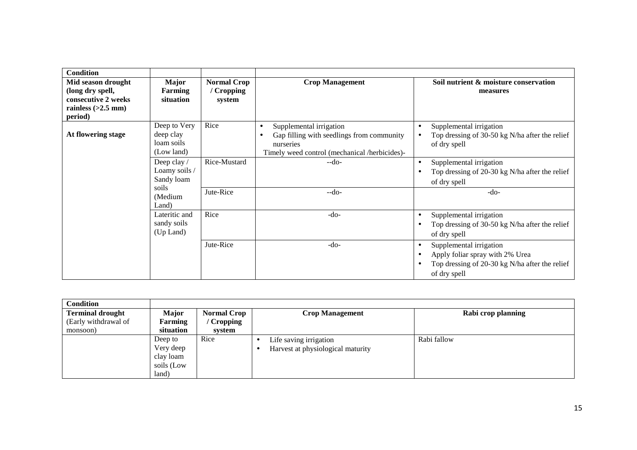| <b>Condition</b>                                              |                                                       |                                            |                                                                                                                                                 |                                                                                                                              |
|---------------------------------------------------------------|-------------------------------------------------------|--------------------------------------------|-------------------------------------------------------------------------------------------------------------------------------------------------|------------------------------------------------------------------------------------------------------------------------------|
| Mid season drought<br>(long dry spell,<br>consecutive 2 weeks | <b>Major</b><br>Farming<br>situation                  | <b>Normal Crop</b><br>/ Cropping<br>system | <b>Crop Management</b>                                                                                                                          | Soil nutrient & moisture conservation<br>measures                                                                            |
| rainless $(>2.5$ mm)                                          |                                                       |                                            |                                                                                                                                                 |                                                                                                                              |
| period)                                                       |                                                       |                                            |                                                                                                                                                 |                                                                                                                              |
| At flowering stage                                            | Deep to Very<br>deep clay<br>loam soils<br>(Low land) | Rice                                       | Supplemental irrigation<br>$\bullet$<br>Gap filling with seedlings from community<br>nurseries<br>Timely weed control (mechanical /herbicides)- | Supplemental irrigation<br>Top dressing of 30-50 kg N/ha after the relief<br>of dry spell                                    |
|                                                               | Deep clay /<br>Loamy soils /<br>Sandy loam            | Rice-Mustard                               | $-do-$                                                                                                                                          | Supplemental irrigation<br>$\bullet$<br>Top dressing of 20-30 kg N/ha after the relief<br>of dry spell                       |
|                                                               | soils<br>(Medium<br>Land)                             | Jute-Rice                                  | $-do-$                                                                                                                                          | $-do-$                                                                                                                       |
|                                                               | Lateritic and<br>sandy soils<br>(Up Land)             | Rice                                       | $-do-$                                                                                                                                          | Supplemental irrigation<br>$\bullet$<br>Top dressing of 30-50 kg N/ha after the relief<br>of dry spell                       |
|                                                               |                                                       | Jute-Rice                                  | $-do-$                                                                                                                                          | Supplemental irrigation<br>Apply foliar spray with 2% Urea<br>Top dressing of 20-30 kg N/ha after the relief<br>of dry spell |

| <b>Condition</b>        |            |                    |                                   |                    |
|-------------------------|------------|--------------------|-----------------------------------|--------------------|
| <b>Terminal drought</b> | Major      | <b>Normal Crop</b> | <b>Crop Management</b>            | Rabi crop planning |
| (Early withdrawal of    | Farming    | Cropping           |                                   |                    |
| monsoon)                | situation  | system             |                                   |                    |
|                         | Deep to    | Rice               | Life saving irrigation            | Rabi fallow        |
|                         | Very deep  |                    | Harvest at physiological maturity |                    |
|                         | clay loam  |                    |                                   |                    |
|                         | soils (Low |                    |                                   |                    |
|                         | land)      |                    |                                   |                    |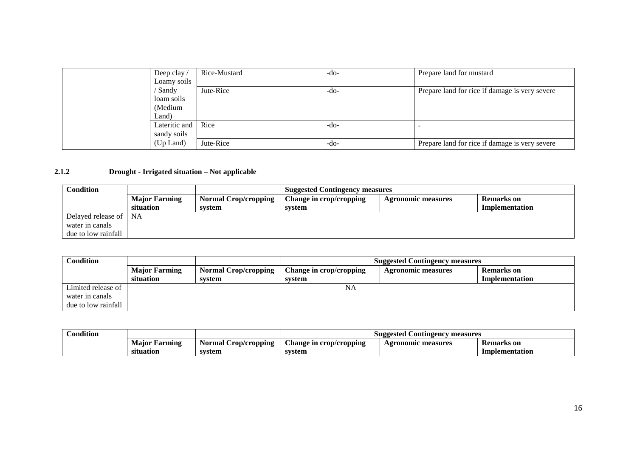| Deep clay $\sqrt{ }$ | Rice-Mustard | $-do-$ | Prepare land for mustard                       |
|----------------------|--------------|--------|------------------------------------------------|
| Loamy soils          |              |        |                                                |
| / Sandy              | Jute-Rice    | $-do-$ | Prepare land for rice if damage is very severe |
| loam soils           |              |        |                                                |
| (Medium              |              |        |                                                |
| Land)                |              |        |                                                |
| Lateritic and        | Rice         | -do-   |                                                |
| sandy soils          |              |        |                                                |
| (Up Land)            | Jute-Rice    | $-do-$ | Prepare land for rice if damage is very severe |

## **2.1.2 Drought - Irrigated situation – Not applicable**

| Condition             |                      |                             | <b>Suggested Contingency measures</b> |                    |                |  |
|-----------------------|----------------------|-----------------------------|---------------------------------------|--------------------|----------------|--|
|                       | <b>Major Farming</b> | <b>Normal Crop/cropping</b> | Change in crop/cropping               | Agronomic measures | Remarks on     |  |
|                       | situation            | system                      | system                                |                    | Implementation |  |
| Delayed release of NA |                      |                             |                                       |                    |                |  |
| water in canals       |                      |                             |                                       |                    |                |  |
| due to low rainfall   |                      |                             |                                       |                    |                |  |

| Condition           |                      |                             | <b>Suggested Contingency measures</b> |                           |                   |  |
|---------------------|----------------------|-----------------------------|---------------------------------------|---------------------------|-------------------|--|
|                     | <b>Major Farming</b> | <b>Normal Crop/cropping</b> | Change in crop/cropping               | <b>Agronomic measures</b> | <b>Remarks</b> on |  |
|                     | situation            | svstem                      | system                                |                           | Implementation    |  |
| Limited release of  |                      |                             | NA                                    |                           |                   |  |
| water in canals     |                      |                             |                                       |                           |                   |  |
| due to low rainfall |                      |                             |                                       |                           |                   |  |

| <b>Condition</b> |                  |                         | measures<br>Suggested<br>. Contingency |                       |                   |  |
|------------------|------------------|-------------------------|----------------------------------------|-----------------------|-------------------|--|
|                  | Maior<br>Farming | Crop/cropping<br>Normal | Change in crop/cropping                | measures<br>Agronomic | <b>Remarks</b> on |  |
|                  | situation        | svstem                  | system                                 |                       | Implementation    |  |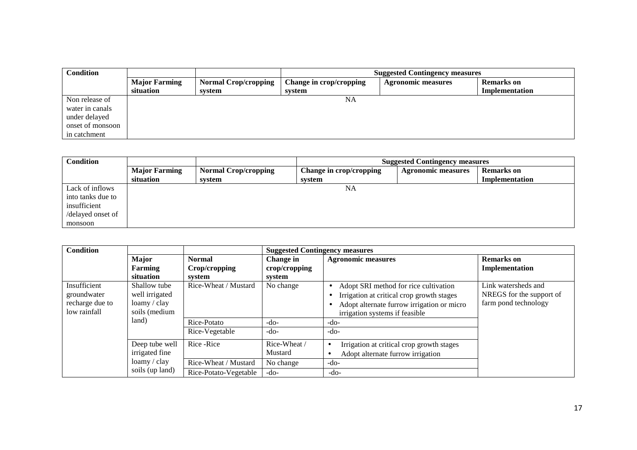| Condition        |                      |                             |                         | <b>Suggested Contingency measures</b> |                   |  |
|------------------|----------------------|-----------------------------|-------------------------|---------------------------------------|-------------------|--|
|                  | <b>Major Farming</b> | <b>Normal Crop/cropping</b> | Change in crop/cropping | <b>Agronomic measures</b>             | <b>Remarks</b> on |  |
|                  | situation            | system                      | system                  |                                       | Implementation    |  |
| Non release of   |                      |                             | NA                      |                                       |                   |  |
| water in canals  |                      |                             |                         |                                       |                   |  |
| under delayed    |                      |                             |                         |                                       |                   |  |
| onset of monsoon |                      |                             |                         |                                       |                   |  |
| in catchment     |                      |                             |                         |                                       |                   |  |

| <b>Condition</b>  |                      |                             | <b>Suggested Contingency measures</b> |                           |                   |
|-------------------|----------------------|-----------------------------|---------------------------------------|---------------------------|-------------------|
|                   | <b>Major Farming</b> | <b>Normal Crop/cropping</b> | Change in crop/cropping               | <b>Agronomic measures</b> | <b>Remarks</b> on |
|                   | situation            | system                      | system                                |                           | Implementation    |
| Lack of inflows   |                      |                             | NA                                    |                           |                   |
| into tanks due to |                      |                             |                                       |                           |                   |
| insufficient      |                      |                             |                                       |                           |                   |
| /delayed onset of |                      |                             |                                       |                           |                   |
| monsoon           |                      |                             |                                       |                           |                   |

| <b>Condition</b>                                               |                                                                 |                                | <b>Suggested Contingency measures</b> |                                                                                                                                                                    |                                                                         |
|----------------------------------------------------------------|-----------------------------------------------------------------|--------------------------------|---------------------------------------|--------------------------------------------------------------------------------------------------------------------------------------------------------------------|-------------------------------------------------------------------------|
|                                                                | <b>Major</b><br>Farming                                         | <b>Normal</b><br>Crop/cropping | Change in<br>crop/cropping            | <b>Agronomic measures</b>                                                                                                                                          | <b>Remarks</b> on<br>Implementation                                     |
|                                                                | situation                                                       | svstem                         | system                                |                                                                                                                                                                    |                                                                         |
| Insufficient<br>groundwater<br>recharge due to<br>low rainfall | Shallow tube<br>well irrigated<br>loamy / clay<br>soils (medium | Rice-Wheat / Mustard           | No change                             | Adopt SRI method for rice cultivation<br>Irrigation at critical crop growth stages<br>Adopt alternate furrow irrigation or micro<br>irrigation systems if feasible | Link watersheds and<br>NREGS for the support of<br>farm pond technology |
|                                                                | land)                                                           | Rice-Potato                    | $-do-$                                | -do-                                                                                                                                                               |                                                                         |
|                                                                |                                                                 | Rice-Vegetable                 | $-do-$                                | $-do-$                                                                                                                                                             |                                                                         |
|                                                                | Deep tube well<br>irrigated fine                                | Rice - Rice                    | Rice-Wheat /<br>Mustard               | Irrigation at critical crop growth stages<br>$\bullet$<br>Adopt alternate furrow irrigation                                                                        |                                                                         |
|                                                                | loamy / clay                                                    | Rice-Wheat / Mustard           | No change                             | $-do-$                                                                                                                                                             |                                                                         |
|                                                                | soils (up land)                                                 | Rice-Potato-Vegetable          | $-do-$                                | $-do-$                                                                                                                                                             |                                                                         |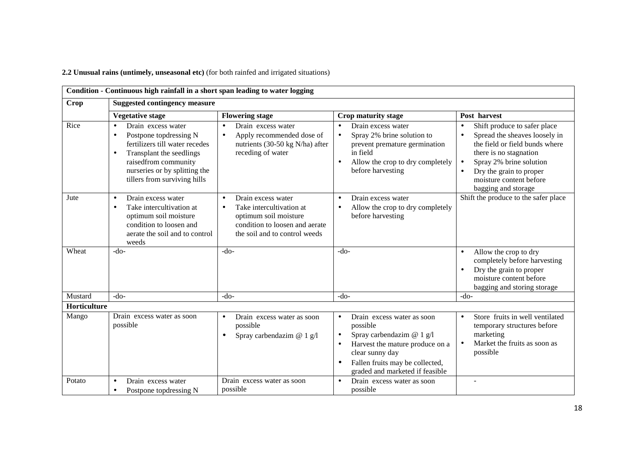**2.2 Unusual rains (untimely, unseasonal etc)** (for both rainfed and irrigated situations)

|              | Condition - Continuous high rainfall in a short span leading to water logging                                                                                                                                    |                                                                                                                                                                      |                                                                                                                                                                                                                                                     |                                                                                                                                                                                                                                                                                       |
|--------------|------------------------------------------------------------------------------------------------------------------------------------------------------------------------------------------------------------------|----------------------------------------------------------------------------------------------------------------------------------------------------------------------|-----------------------------------------------------------------------------------------------------------------------------------------------------------------------------------------------------------------------------------------------------|---------------------------------------------------------------------------------------------------------------------------------------------------------------------------------------------------------------------------------------------------------------------------------------|
| Crop         | <b>Suggested contingency measure</b>                                                                                                                                                                             |                                                                                                                                                                      |                                                                                                                                                                                                                                                     |                                                                                                                                                                                                                                                                                       |
|              | <b>Vegetative stage</b>                                                                                                                                                                                          | <b>Flowering stage</b>                                                                                                                                               | Crop maturity stage                                                                                                                                                                                                                                 | Post harvest                                                                                                                                                                                                                                                                          |
| Rice         | Drain excess water<br>Postpone topdressing N<br>fertilizers till water recedes<br>Transplant the seedlings<br>$\bullet$<br>raisedfrom community<br>nurseries or by splitting the<br>tillers from surviving hills | Drain excess water<br>Apply recommended dose of<br>nutrients (30-50 kg N/ha) after<br>receding of water                                                              | Drain excess water<br>$\bullet$<br>Spray 2% brine solution to<br>$\bullet$<br>prevent premature germination<br>in field<br>Allow the crop to dry completely<br>$\bullet$<br>before harvesting                                                       | Shift produce to safer place<br>$\bullet$<br>Spread the sheaves loosely in<br>$\bullet$<br>the field or field bunds where<br>there is no stagnation<br>Spray 2% brine solution<br>$\bullet$<br>Dry the grain to proper<br>$\bullet$<br>moisture content before<br>bagging and storage |
| Jute         | Drain excess water<br>$\bullet$<br>Take intercultivation at<br>$\bullet$<br>optimum soil moisture<br>condition to loosen and<br>aerate the soil and to control<br>weeds                                          | Drain excess water<br>$\bullet$<br>Take intercultivation at<br>$\bullet$<br>optimum soil moisture<br>condition to loosen and aerate<br>the soil and to control weeds | Drain excess water<br>$\bullet$<br>Allow the crop to dry completely<br>$\bullet$<br>before harvesting                                                                                                                                               | Shift the produce to the safer place                                                                                                                                                                                                                                                  |
| Wheat        | $-do-$                                                                                                                                                                                                           | $-do-$                                                                                                                                                               | $-do-$                                                                                                                                                                                                                                              | Allow the crop to dry<br>$\bullet$<br>completely before harvesting<br>Dry the grain to proper<br>$\bullet$<br>moisture content before<br>bagging and storing storage                                                                                                                  |
| Mustard      | $-do-$                                                                                                                                                                                                           | $-do-$                                                                                                                                                               | $-do-$                                                                                                                                                                                                                                              | $-do-$                                                                                                                                                                                                                                                                                |
| Horticulture |                                                                                                                                                                                                                  |                                                                                                                                                                      |                                                                                                                                                                                                                                                     |                                                                                                                                                                                                                                                                                       |
| Mango        | Drain excess water as soon<br>possible                                                                                                                                                                           | Drain excess water as soon<br>$\bullet$<br>possible<br>Spray carbendazim $@ 1 g/l$<br>$\bullet$                                                                      | Drain excess water as soon<br>$\bullet$<br>possible<br>Spray carbendazim @ 1 g/l<br>$\bullet$<br>Harvest the mature produce on a<br>$\bullet$<br>clear sunny day<br>Fallen fruits may be collected,<br>$\bullet$<br>graded and marketed if feasible | Store fruits in well ventilated<br>$\bullet$<br>temporary structures before<br>marketing<br>Market the fruits as soon as<br>$\bullet$<br>possible                                                                                                                                     |
| Potato       | Drain excess water<br>Postpone topdressing N<br>$\bullet$                                                                                                                                                        | Drain excess water as soon<br>possible                                                                                                                               | Drain excess water as soon<br>$\bullet$<br>possible                                                                                                                                                                                                 |                                                                                                                                                                                                                                                                                       |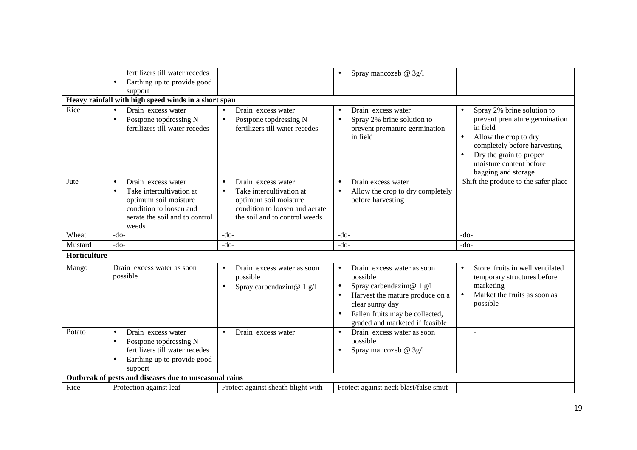|              | fertilizers till water recedes<br>Earthing up to provide good<br>$\bullet$<br>support                                                                      |                                                                                                                                                                      | Spray mancozeb @ 3g/l<br>$\bullet$                                                                                                                                                                                                                   |                                                                                                                                                                                                                                                      |
|--------------|------------------------------------------------------------------------------------------------------------------------------------------------------------|----------------------------------------------------------------------------------------------------------------------------------------------------------------------|------------------------------------------------------------------------------------------------------------------------------------------------------------------------------------------------------------------------------------------------------|------------------------------------------------------------------------------------------------------------------------------------------------------------------------------------------------------------------------------------------------------|
|              | Heavy rainfall with high speed winds in a short span                                                                                                       |                                                                                                                                                                      |                                                                                                                                                                                                                                                      |                                                                                                                                                                                                                                                      |
| Rice         | Drain excess water<br>Postpone topdressing N<br>$\bullet$<br>fertilizers till water recedes                                                                | Drain excess water<br>Postpone topdressing N<br>$\bullet$<br>fertilizers till water recedes                                                                          | Drain excess water<br>$\bullet$<br>Spray 2% brine solution to<br>$\bullet$<br>prevent premature germination<br>in field                                                                                                                              | Spray 2% brine solution to<br>$\bullet$<br>prevent premature germination<br>in field<br>Allow the crop to dry<br>$\bullet$<br>completely before harvesting<br>Dry the grain to proper<br>$\bullet$<br>moisture content before<br>bagging and storage |
| Jute         | Drain excess water<br>Take intercultivation at<br>$\bullet$<br>optimum soil moisture<br>condition to loosen and<br>aerate the soil and to control<br>weeds | Drain excess water<br>$\bullet$<br>Take intercultivation at<br>$\bullet$<br>optimum soil moisture<br>condition to loosen and aerate<br>the soil and to control weeds | Drain excess water<br>$\bullet$<br>Allow the crop to dry completely<br>$\bullet$<br>before harvesting                                                                                                                                                | Shift the produce to the safer place                                                                                                                                                                                                                 |
| Wheat        | $-do-$                                                                                                                                                     | $-do-$                                                                                                                                                               | $-do-$                                                                                                                                                                                                                                               | $-do-$                                                                                                                                                                                                                                               |
| Mustard      | $-do-$                                                                                                                                                     | $-do-$                                                                                                                                                               | $-do-$                                                                                                                                                                                                                                               | $-do-$                                                                                                                                                                                                                                               |
| Horticulture |                                                                                                                                                            |                                                                                                                                                                      |                                                                                                                                                                                                                                                      |                                                                                                                                                                                                                                                      |
| Mango        | Drain excess water as soon<br>possible                                                                                                                     | Drain excess water as soon<br>possible<br>Spray carbendazim@ 1 g/l<br>$\bullet$                                                                                      | Drain excess water as soon<br>$\bullet$<br>possible<br>Spray carbendazim@ $1$ g/l<br>$\bullet$<br>Harvest the mature produce on a<br>$\bullet$<br>clear sunny day<br>Fallen fruits may be collected,<br>$\bullet$<br>graded and marketed if feasible | Store fruits in well ventilated<br>$\bullet$<br>temporary structures before<br>marketing<br>Market the fruits as soon as<br>$\bullet$<br>possible                                                                                                    |
| Potato       | Drain excess water<br>$\bullet$<br>Postpone topdressing N<br>fertilizers till water recedes<br>Earthing up to provide good<br>support                      | Drain excess water<br>$\bullet$                                                                                                                                      | Drain excess water as soon<br>$\bullet$<br>possible<br>Spray mancozeb @ 3g/l<br>$\bullet$                                                                                                                                                            |                                                                                                                                                                                                                                                      |
|              |                                                                                                                                                            |                                                                                                                                                                      |                                                                                                                                                                                                                                                      |                                                                                                                                                                                                                                                      |
| Rice         | Outbreak of pests and diseases due to unseasonal rains<br>Protection against leaf                                                                          | Protect against sheath blight with                                                                                                                                   | Protect against neck blast/false smut                                                                                                                                                                                                                |                                                                                                                                                                                                                                                      |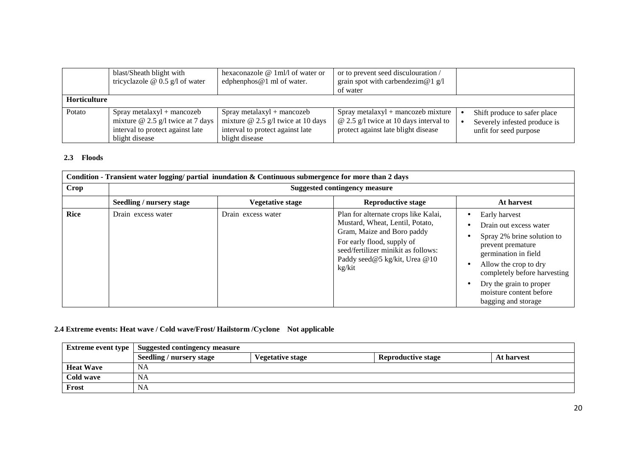|                     | blast/Sheath blight with<br>tricyclazole $\omega$ 0.5 g/l of water                                                        | hexaconazole $@1m1/1$ of water or<br>edphenphos $@1$ ml of water.                                                               | or to prevent seed disculouration /<br>grain spot with carbendezim@1 $g/l$<br>of water                                       |                                                                                        |
|---------------------|---------------------------------------------------------------------------------------------------------------------------|---------------------------------------------------------------------------------------------------------------------------------|------------------------------------------------------------------------------------------------------------------------------|----------------------------------------------------------------------------------------|
| <b>Horticulture</b> |                                                                                                                           |                                                                                                                                 |                                                                                                                              |                                                                                        |
| Potato              | $Spray$ metalaxyl + mancozeb<br>mixture $@$ 2.5 g/l twice at 7 days<br>interval to protect against late<br>blight disease | $Spray$ metalaxyl + mancozeb<br>mixture $\omega$ 2.5 g/l twice at 10 days<br>interval to protect against late<br>blight disease | $Spray$ metalaxyl + mancozeb mixture<br>$\omega$ 2.5 g/l twice at 10 days interval to<br>protect against late blight disease | Shift produce to safer place<br>Severely infested produce is<br>unfit for seed purpose |

## **2.3 Floods**

|      | Condition - Transient water logging/ partial inundation & Continuous submergence for more than 2 days |                         |                                                                                                                                                                                                                       |                                                                                                                                                                                                                                                          |  |  |  |
|------|-------------------------------------------------------------------------------------------------------|-------------------------|-----------------------------------------------------------------------------------------------------------------------------------------------------------------------------------------------------------------------|----------------------------------------------------------------------------------------------------------------------------------------------------------------------------------------------------------------------------------------------------------|--|--|--|
| Crop | <b>Suggested contingency measure</b>                                                                  |                         |                                                                                                                                                                                                                       |                                                                                                                                                                                                                                                          |  |  |  |
|      | Seedling / nursery stage                                                                              | <b>Vegetative stage</b> | <b>Reproductive stage</b>                                                                                                                                                                                             | At harvest                                                                                                                                                                                                                                               |  |  |  |
| Rice | Drain excess water                                                                                    | Drain excess water      | Plan for alternate crops like Kalai,<br>Mustard, Wheat, Lentil, Potato,<br>Gram, Maize and Boro paddy<br>For early flood, supply of<br>seed/fertilizer minikit as follows:<br>Paddy seed@5 kg/kit, Urea @10<br>kg/kit | Early harvest<br>Drain out excess water<br>Spray 2% brine solution to<br>prevent premature<br>germination in field<br>Allow the crop to dry<br>completely before harvesting<br>Dry the grain to proper<br>moisture content before<br>bagging and storage |  |  |  |

## **2.4 Extreme events: Heat wave / Cold wave/Frost/ Hailstorm /Cyclone Not applicable**

| <b>Extreme event type</b> | <b>Suggested contingency measure</b> |                         |                           |            |  |
|---------------------------|--------------------------------------|-------------------------|---------------------------|------------|--|
|                           | Seedling / nursery stage             | <b>Vegetative stage</b> | <b>Reproductive stage</b> | At harvest |  |
| <b>Heat Wave</b>          | NA                                   |                         |                           |            |  |
| Cold wave                 | <b>NA</b>                            |                         |                           |            |  |
| Frost                     | <b>NA</b>                            |                         |                           |            |  |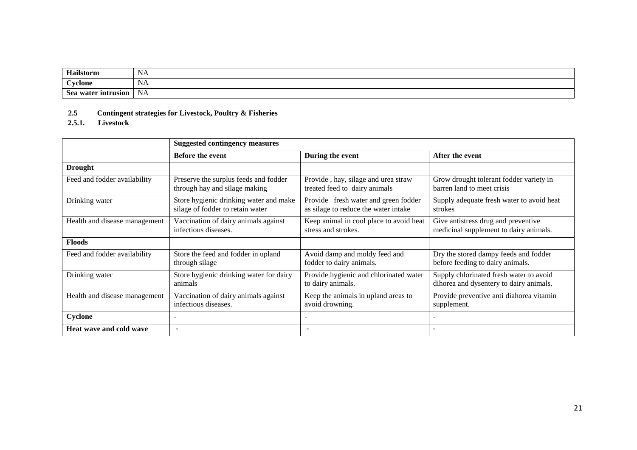| Hailstorm                     | <b>NA</b>                                    |
|-------------------------------|----------------------------------------------|
| $\alpha$ vclone               | <b>NA</b>                                    |
| <b>Sea</b><br>water intrusion | <b>NA</b><br>the contract of the contract of |

## **2.5 Contingent strategies for Livestock, Poultry & Fisheries**

#### **2.5.1. Livestock**

|                               | <b>Suggested contingency measures</b>   |                                         |                                           |  |
|-------------------------------|-----------------------------------------|-----------------------------------------|-------------------------------------------|--|
|                               | <b>Before the event</b>                 | During the event                        | After the event                           |  |
| <b>Drought</b>                |                                         |                                         |                                           |  |
| Feed and fodder availability  | Preserve the surplus feeds and fodder   | Provide, hay, silage and urea straw     | Grow drought tolerant fodder variety in   |  |
|                               | through hay and silage making           | treated feed to dairy animals           | barren land to meet crisis                |  |
| Drinking water                | Store hygienic drinking water and make  | Provide fresh water and green fodder    | Supply adequate fresh water to avoid heat |  |
|                               | silage of fodder to retain water        | as silage to reduce the water intake    | strokes                                   |  |
| Health and disease management | Vaccination of dairy animals against    | Keep animal in cool place to avoid heat | Give antistress drug and preventive       |  |
|                               | infectious diseases.                    | stress and strokes.                     | medicinal supplement to dairy animals.    |  |
| <b>Floods</b>                 |                                         |                                         |                                           |  |
| Feed and fodder availability  | Store the feed and fodder in upland     | Avoid damp and moldy feed and           | Dry the stored dampy feeds and fodder     |  |
|                               | through silage                          | fodder to dairy animals.                | before feeding to dairy animals.          |  |
| Drinking water                | Store hygienic drinking water for dairy | Provide hygienic and chlorinated water  | Supply chlorinated fresh water to avoid   |  |
|                               | animals                                 | to dairy animals.                       | dihorea and dysentery to dairy animals.   |  |
| Health and disease management | Vaccination of dairy animals against    | Keep the animals in upland areas to     | Provide preventive anti diahorea vitamin  |  |
|                               | infectious diseases.                    | avoid drowning.                         | supplement.                               |  |
| Cyclone                       |                                         |                                         |                                           |  |
| Heat wave and cold wave       | $\overline{\phantom{a}}$                |                                         |                                           |  |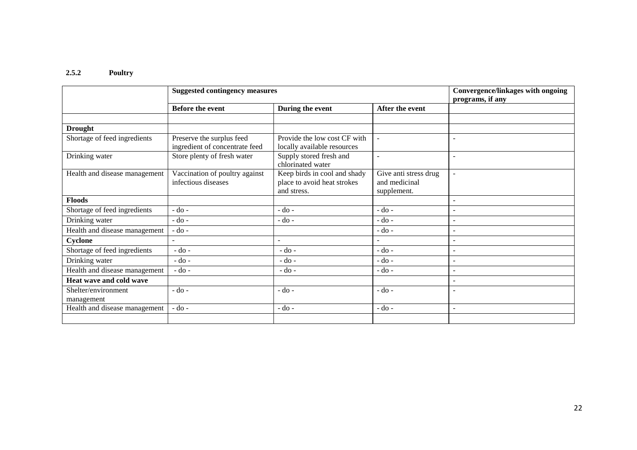# **2.5.2 Poultry**

|                                   | <b>Suggested contingency measures</b>                       |                                                                            |                                                       | Convergence/linkages with ongoing<br>programs, if any |
|-----------------------------------|-------------------------------------------------------------|----------------------------------------------------------------------------|-------------------------------------------------------|-------------------------------------------------------|
|                                   | <b>Before the event</b>                                     | During the event                                                           | After the event                                       |                                                       |
|                                   |                                                             |                                                                            |                                                       |                                                       |
| <b>Drought</b>                    |                                                             |                                                                            |                                                       |                                                       |
| Shortage of feed ingredients      | Preserve the surplus feed<br>ingredient of concentrate feed | Provide the low cost CF with<br>locally available resources                | $\omega$                                              |                                                       |
| Drinking water                    | Store plenty of fresh water                                 | Supply stored fresh and<br>chlorinated water                               | ÷,                                                    | $\overline{\phantom{a}}$                              |
| Health and disease management     | Vaccination of poultry against<br>infectious diseases       | Keep birds in cool and shady<br>place to avoid heat strokes<br>and stress. | Give anti stress drug<br>and medicinal<br>supplement. | $\overline{a}$                                        |
| <b>Floods</b>                     |                                                             |                                                                            |                                                       | $\blacksquare$                                        |
| Shortage of feed ingredients      | $-do$ -                                                     | $-do -$                                                                    | $-do$ -                                               | $\blacksquare$                                        |
| Drinking water                    | $-do$ -                                                     | $-do -$                                                                    | - do -                                                | $\overline{\phantom{a}}$                              |
| Health and disease management     | - do -                                                      |                                                                            | $-do$ -                                               | $\overline{\phantom{a}}$                              |
| Cyclone                           |                                                             | $\overline{a}$                                                             |                                                       | $\blacksquare$                                        |
| Shortage of feed ingredients      | $-do -$                                                     | $-do -$                                                                    | - do -                                                | $\overline{\phantom{a}}$                              |
| Drinking water                    | $-do$ -                                                     | $-do$ -                                                                    | - do -                                                | ٠                                                     |
| Health and disease management     | $-do$ -                                                     | $-do -$                                                                    | - do -                                                | $\overline{\phantom{a}}$                              |
| Heat wave and cold wave           |                                                             |                                                                            |                                                       | $\overline{\phantom{a}}$                              |
| Shelter/environment<br>management | - do -                                                      | $-do$ -                                                                    | - do -                                                | $\overline{\phantom{0}}$                              |
| Health and disease management     | $-do-$                                                      | $-do -$                                                                    | $-do$ -                                               | $\overline{\phantom{a}}$                              |
|                                   |                                                             |                                                                            |                                                       |                                                       |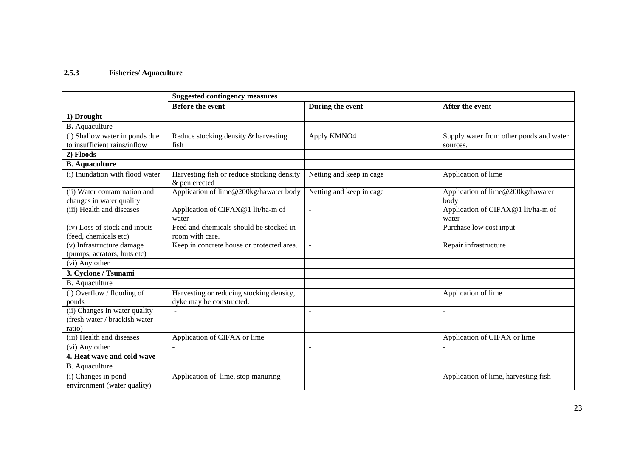## **2.5.3 Fisheries/ Aquaculture**

|                                                          | <b>Suggested contingency measures</b>                       |                          |                                             |  |
|----------------------------------------------------------|-------------------------------------------------------------|--------------------------|---------------------------------------------|--|
|                                                          | <b>Before the event</b>                                     | During the event         | After the event                             |  |
| 1) Drought                                               |                                                             |                          |                                             |  |
| <b>B.</b> Aquaculture                                    |                                                             |                          |                                             |  |
| (i) Shallow water in ponds due                           | Reduce stocking density & harvesting                        | Apply KMNO4              | Supply water from other ponds and water     |  |
| to insufficient rains/inflow                             | fish                                                        |                          | sources.                                    |  |
| 2) Floods                                                |                                                             |                          |                                             |  |
| <b>B.</b> Aquaculture                                    |                                                             |                          |                                             |  |
| (i) Inundation with flood water                          | Harvesting fish or reduce stocking density<br>& pen erected | Netting and keep in cage | Application of lime                         |  |
| (ii) Water contamination and<br>changes in water quality | Application of lime@200kg/hawater body                      | Netting and keep in cage | Application of lime@200kg/hawater<br>body   |  |
| (iii) Health and diseases                                | Application of CIFAX@1 lit/ha-m of<br>water                 |                          | Application of CIFAX@1 lit/ha-m of<br>water |  |
| (iv) Loss of stock and inputs<br>(feed, chemicals etc)   | Feed and chemicals should be stocked in<br>room with care.  | ÷,                       | Purchase low cost input                     |  |
| $\overline{(v)}$ Infrastructure damage                   | Keep in concrete house or protected area.                   | $\overline{a}$           | Repair infrastructure                       |  |
| (pumps, aerators, huts etc)                              |                                                             |                          |                                             |  |
| (vi) Any other                                           |                                                             |                          |                                             |  |
| 3. Cyclone / Tsunami                                     |                                                             |                          |                                             |  |
| B. Aquaculture                                           |                                                             |                          |                                             |  |
| (i) Overflow / flooding of                               | Harvesting or reducing stocking density,                    |                          | Application of lime                         |  |
| ponds                                                    | dyke may be constructed.                                    |                          |                                             |  |
| (ii) Changes in water quality                            |                                                             |                          | $\overline{a}$                              |  |
| (fresh water / brackish water)                           |                                                             |                          |                                             |  |
| ratio)                                                   |                                                             |                          |                                             |  |
| (iii) Health and diseases                                | Application of CIFAX or lime                                |                          | Application of CIFAX or lime                |  |
| (vi) Any other                                           | $\sim$                                                      | $\overline{\phantom{a}}$ | $\blacksquare$                              |  |
| 4. Heat wave and cold wave                               |                                                             |                          |                                             |  |
| <b>B</b> . Aquaculture                                   |                                                             |                          |                                             |  |
| (i) Changes in pond<br>environment (water quality)       | Application of lime, stop manuring                          | $\overline{a}$           | Application of lime, harvesting fish        |  |